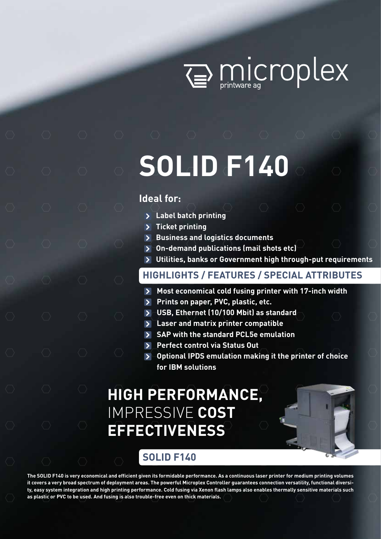

Wicroplex

# **SOLID F140**

## **Ideal for:**

- **Label batch printing**
- > Ticket printing
- **Business and logistics documents**
- **On-demand publications (mail shots etc)**
- **Utilities, banks or Government high through-put requirements**

# **HIGHLIGHTS / FEATURES / SPECIAL ATTRIBUTES**

- **Most economical cold fusing printer with 17-inch width**   $\blacktriangleright$
- **Prints on paper, PVC, plastic, etc.**
- **USB, Ethernet (10/100 Mbit) as standard**
- **Laser and matrix printer compatible**
- **SAP with the standard PCL5e emulation**
- **Perfect control via Status Out**
- **Optional IPDS emulation making it the printer of choice for IBM solutions**

# **HIGH PERFORMANCE,**  IMPRESSIVE **COST EFFECTIVENESS**

# **SOLID F140**

**The SOLID F140 is very economical and efficient given its formidable performance. As a continuous laser printer for medium printing volumes it covers a very broad spectrum of deployment areas. The powerful Microplex Controller guarantees connection versatility, functional diversity, easy system integration and high printing performance. Cold fusing via Xenon flash lamps also enables thermally sensitive materials such as plastic or PVC to be used. And fusing is also trouble-free even on thick materials.**